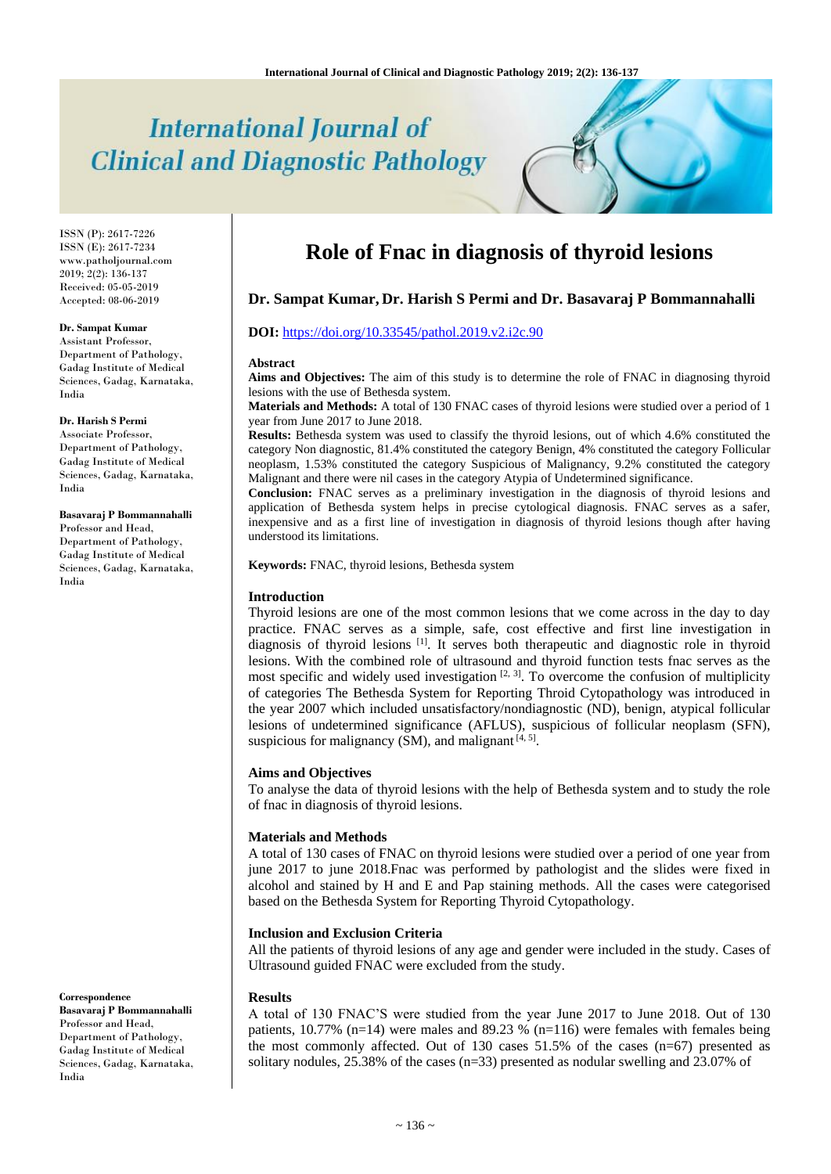# **International Journal of Clinical and Diagnostic Pathology**

ISSN (P): 2617-7226 ISSN (E): 2617-7234 www.patholjournal.com  $2019; 2(2): 136-137$ Received: 05-05-2019 Accepted: 08-06-2019

#### **Dr. Sampat Kumar**

Assistant Professor, Department of Pathology, Gadag Institute of Medical Sciences, Gadag, Karnataka, India

## **Dr. Harish S Permi**

Associate Professor, Department of Pathology, Gadag Institute of Medical Sciences, Gadag, Karnataka, India

#### **Basavaraj P Bommannahalli** Professor and Head,

Department of Pathology. Gadag Institute of Medical Sciences, Gadag, Karnataka, India

**Correspondence**

**Basavaraj P Bommannahalli** Professor and Head, Department of Pathology, Gadag Institute of Medical Sciences, Gadag, Karnataka, India

# **Role of Fnac in diagnosis of thyroid lesions**

# **Dr. Sampat Kumar, Dr. Harish S Permi and Dr. Basavaraj P Bommannahalli**

#### **DOI:** <https://doi.org/10.33545/pathol.2019.v2.i2c.90>

#### **Abstract**

**Aims and Objectives:** The aim of this study is to determine the role of FNAC in diagnosing thyroid lesions with the use of Bethesda system.

**Materials and Methods:** A total of 130 FNAC cases of thyroid lesions were studied over a period of 1 year from June 2017 to June 2018.

**Results:** Bethesda system was used to classify the thyroid lesions, out of which 4.6% constituted the category Non diagnostic, 81.4% constituted the category Benign, 4% constituted the category Follicular neoplasm, 1.53% constituted the category Suspicious of Malignancy, 9.2% constituted the category Malignant and there were nil cases in the category Atypia of Undetermined significance.

**Conclusion:** FNAC serves as a preliminary investigation in the diagnosis of thyroid lesions and application of Bethesda system helps in precise cytological diagnosis. FNAC serves as a safer, inexpensive and as a first line of investigation in diagnosis of thyroid lesions though after having understood its limitations.

**Keywords:** FNAC, thyroid lesions, Bethesda system

#### **Introduction**

Thyroid lesions are one of the most common lesions that we come across in the day to day practice. FNAC serves as a simple, safe, cost effective and first line investigation in diagnosis of thyroid lesions [1]. It serves both therapeutic and diagnostic role in thyroid lesions. With the combined role of ultrasound and thyroid function tests fnac serves as the most specific and widely used investigation  $[2, 3]$ . To overcome the confusion of multiplicity of categories The Bethesda System for Reporting Throid Cytopathology was introduced in the year 2007 which included unsatisfactory/nondiagnostic (ND), benign, atypical follicular lesions of undetermined significance (AFLUS), suspicious of follicular neoplasm (SFN), suspicious for malignancy (SM), and malignant  $[4, 5]$ .

#### **Aims and Objectives**

To analyse the data of thyroid lesions with the help of Bethesda system and to study the role of fnac in diagnosis of thyroid lesions.

#### **Materials and Methods**

A total of 130 cases of FNAC on thyroid lesions were studied over a period of one year from june 2017 to june 2018.Fnac was performed by pathologist and the slides were fixed in alcohol and stained by H and E and Pap staining methods. All the cases were categorised based on the Bethesda System for Reporting Thyroid Cytopathology.

#### **Inclusion and Exclusion Criteria**

All the patients of thyroid lesions of any age and gender were included in the study. Cases of Ultrasound guided FNAC were excluded from the study.

#### **Results**

A total of 130 FNAC'S were studied from the year June 2017 to June 2018. Out of 130 patients,  $10.77\%$  (n=14) were males and 89.23 % (n=116) were females with females being the most commonly affected. Out of 130 cases  $51.5\%$  of the cases (n=67) presented as solitary nodules, 25.38% of the cases (n=33) presented as nodular swelling and 23.07% of